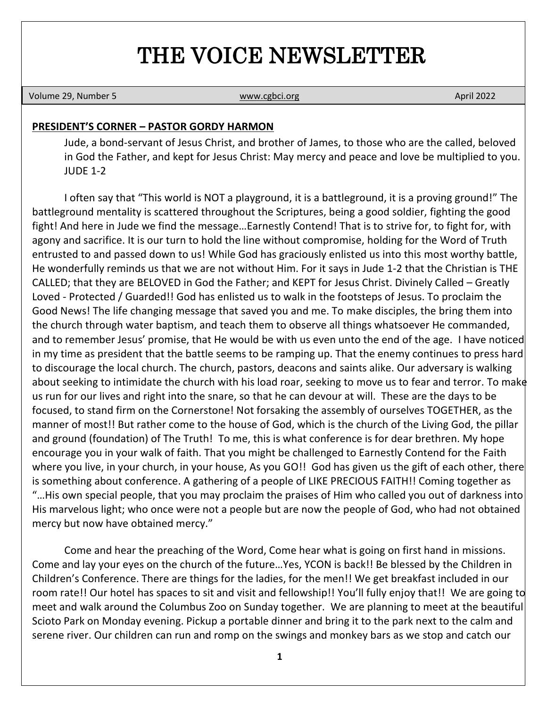# THE VOICE NEWSLETTER

Volume 29, Number 5 **[www.cgbci.org](http://www.cgbci.org/) April 2022 April 2022** 

#### **PRESIDENT'S CORNER – PASTOR GORDY HARMON**

Jude, a bond-servant of Jesus Christ, and brother of James, to those who are the called, beloved in God the Father, and kept for Jesus Christ: May mercy and peace and love be multiplied to you. JUDE 1-2

I often say that "This world is NOT a playground, it is a battleground, it is a proving ground!" The battleground mentality is scattered throughout the Scriptures, being a good soldier, fighting the good fight! And here in Jude we find the message…Earnestly Contend! That is to strive for, to fight for, with agony and sacrifice. It is our turn to hold the line without compromise, holding for the Word of Truth entrusted to and passed down to us! While God has graciously enlisted us into this most worthy battle, He wonderfully reminds us that we are not without Him. For it says in Jude 1-2 that the Christian is THE CALLED; that they are BELOVED in God the Father; and KEPT for Jesus Christ. Divinely Called – Greatly Loved - Protected / Guarded!! God has enlisted us to walk in the footsteps of Jesus. To proclaim the Good News! The life changing message that saved you and me. To make disciples, the bring them into the church through water baptism, and teach them to observe all things whatsoever He commanded, and to remember Jesus' promise, that He would be with us even unto the end of the age. I have noticed in my time as president that the battle seems to be ramping up. That the enemy continues to press hard to discourage the local church. The church, pastors, deacons and saints alike. Our adversary is walking about seeking to intimidate the church with his load roar, seeking to move us to fear and terror. To make us run for our lives and right into the snare, so that he can devour at will. These are the days to be focused, to stand firm on the Cornerstone! Not forsaking the assembly of ourselves TOGETHER, as the manner of most!! But rather come to the house of God, which is the church of the Living God, the pillar and ground (foundation) of The Truth! To me, this is what conference is for dear brethren. My hope encourage you in your walk of faith. That you might be challenged to Earnestly Contend for the Faith where you live, in your church, in your house, As you GO!! God has given us the gift of each other, there is something about conference. A gathering of a people of LIKE PRECIOUS FAITH!! Coming together as "…His own special people, that you may proclaim the praises of Him who called you out of darkness into His marvelous light; who once were not a people but are now the people of God, who had not obtained mercy but now have obtained mercy."

Come and hear the preaching of the Word, Come hear what is going on first hand in missions. Come and lay your eyes on the church of the future…Yes, YCON is back!! Be blessed by the Children in Children's Conference. There are things for the ladies, for the men!! We get breakfast included in our room rate!! Our hotel has spaces to sit and visit and fellowship!! You'll fully enjoy that!! We are going to meet and walk around the Columbus Zoo on Sunday together. We are planning to meet at the beautiful Scioto Park on Monday evening. Pickup a portable dinner and bring it to the park next to the calm and serene river. Our children can run and romp on the swings and monkey bars as we stop and catch our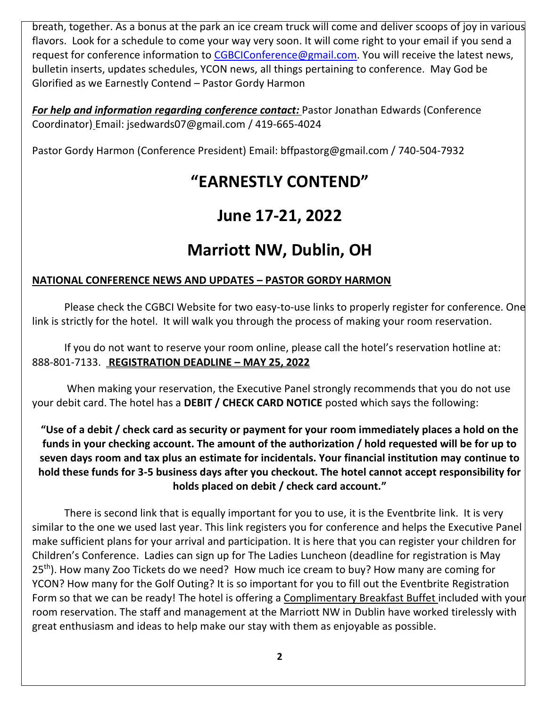breath, together. As a bonus at the park an ice cream truck will come and deliver scoops of joy in various flavors. Look for a schedule to come your way very soon. It will come right to your email if you send a request for conference information to [CGBCIConference@gmail.com.](mailto:CGBCIConference@gmail.com) You will receive the latest news, bulletin inserts, updates schedules, YCON news, all things pertaining to conference. May God be Glorified as we Earnestly Contend – Pastor Gordy Harmon

*For help and information regarding conference contact:* Pastor Jonathan Edwards (Conference Coordinator) Email: jsedwards07@gmail.com / 419-665-4024

Pastor Gordy Harmon (Conference President) Email: bffpastorg@gmail.com / 740-504-7932

# **"EARNESTLY CONTEND"**

# **June 17-21, 2022**

# **Marriott NW, Dublin, OH**

### **NATIONAL CONFERENCE NEWS AND UPDATES – PASTOR GORDY HARMON**

Please check the CGBCI Website for two easy-to-use links to properly register for conference. One link is strictly for the hotel. It will walk you through the process of making your room reservation.

If you do not want to reserve your room online, please call the hotel's reservation hotline at: 888-801-7133. **REGISTRATION DEADLINE – MAY 25, 2022**

When making your reservation, the Executive Panel strongly recommends that you do not use your debit card. The hotel has a **DEBIT / CHECK CARD NOTICE** posted which says the following:

**"Use of a debit / check card as security or payment for your room immediately places a hold on the funds in your checking account. The amount of the authorization / hold requested will be for up to seven days room and tax plus an estimate for incidentals. Your financial institution may continue to hold these funds for 3-5 business days after you checkout. The hotel cannot accept responsibility for holds placed on debit / check card account."**

There is second link that is equally important for you to use, it is the Eventbrite link. It is very similar to the one we used last year. This link registers you for conference and helps the Executive Panel make sufficient plans for your arrival and participation. It is here that you can register your children for Children's Conference. Ladies can sign up for The Ladies Luncheon (deadline for registration is May 25<sup>th</sup>). How many Zoo Tickets do we need? How much ice cream to buy? How many are coming for YCON? How many for the Golf Outing? It is so important for you to fill out the Eventbrite Registration Form so that we can be ready! The hotel is offering a Complimentary Breakfast Buffet included with your room reservation. The staff and management at the Marriott NW in Dublin have worked tirelessly with great enthusiasm and ideas to help make our stay with them as enjoyable as possible.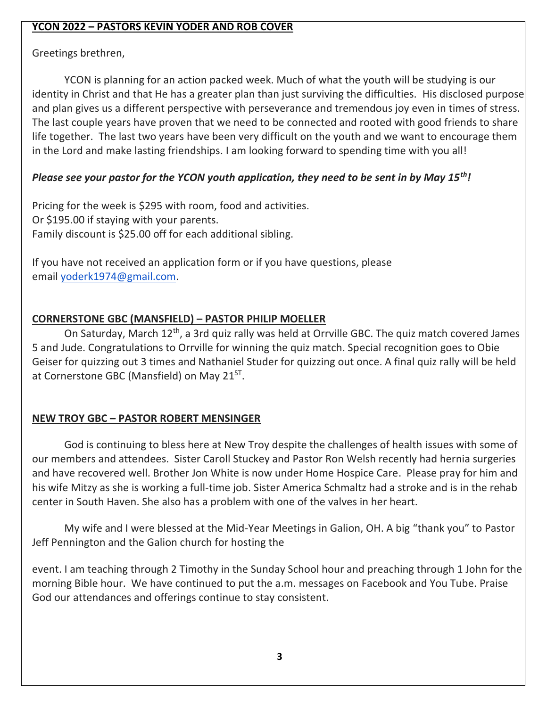### **YCON 2022 – PASTORS KEVIN YODER AND ROB COVER**

Greetings brethren,

YCON is planning for an action packed week. Much of what the youth will be studying is our identity in Christ and that He has a greater plan than just surviving the difficulties. His disclosed purpose and plan gives us a different perspective with perseverance and tremendous joy even in times of stress. The last couple years have proven that we need to be connected and rooted with good friends to share life together. The last two years have been very difficult on the youth and we want to encourage them in the Lord and make lasting friendships. I am looking forward to spending time with you all!

# *Please see your pastor for the YCON youth application, they need to be sent in by May 15th!*

Pricing for the week is \$295 with room, food and activities. Or \$195.00 if staying with your parents. Family discount is \$25.00 off for each additional sibling.

If you have not received an application form or if you have questions, please email [yoderk1974@gmail.com.](mailto:yoderk1974@gmail.com)

# **CORNERSTONE GBC (MANSFIELD) – PASTOR PHILIP MOELLER**

On Saturday, March 12<sup>th</sup>, a 3rd quiz rally was held at Orrville GBC. The quiz match covered James 5 and Jude. Congratulations to Orrville for winning the quiz match. Special recognition goes to Obie Geiser for quizzing out 3 times and Nathaniel Studer for quizzing out once. A final quiz rally will be held at Cornerstone GBC (Mansfield) on May 21<sup>ST</sup>.

# **NEW TROY GBC – PASTOR ROBERT MENSINGER**

God is continuing to bless here at New Troy despite the challenges of health issues with some of our members and attendees. Sister Caroll Stuckey and Pastor Ron Welsh recently had hernia surgeries and have recovered well. Brother Jon White is now under Home Hospice Care. Please pray for him and his wife Mitzy as she is working a full-time job. Sister America Schmaltz had a stroke and is in the rehab center in South Haven. She also has a problem with one of the valves in her heart.

My wife and I were blessed at the Mid-Year Meetings in Galion, OH. A big "thank you" to Pastor Jeff Pennington and the Galion church for hosting the

event. I am teaching through 2 Timothy in the Sunday School hour and preaching through 1 John for the morning Bible hour. We have continued to put the a.m. messages on Facebook and You Tube. Praise God our attendances and offerings continue to stay consistent.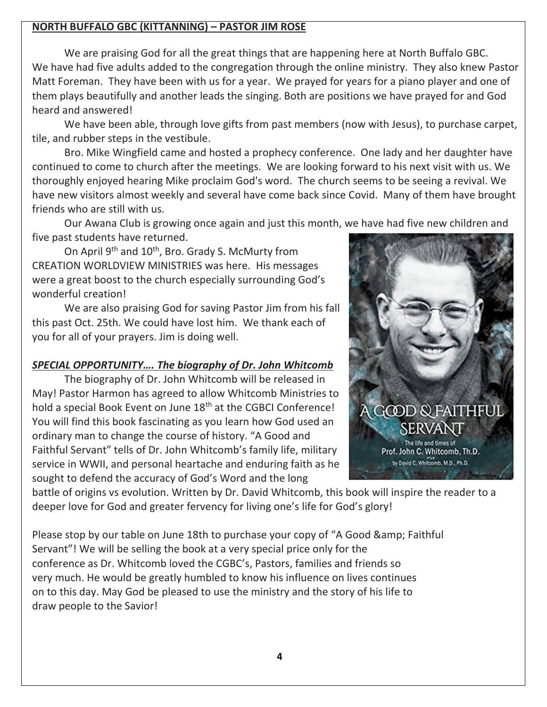#### **NORTH BUFFALO GBC (KITTANNING) – PASTOR JIM ROSE**

We are praising God for all the great things that are happening here at North Buffalo GBC. We have had five adults added to the congregation through the online ministry. They also knew Pastor Matt Foreman. They have been with us for a year. We prayed for years for a piano player and one of them plays beautifully and another leads the singing. Both are positions we have prayed for and God heard and answered!

We have been able, through love gifts from past members (now with Jesus), to purchase carpet, tile, and rubber steps in the vestibule.

Bro. Mike Wingfield came and hosted a prophecy conference. One lady and her daughter have continued to come to church after the meetings. We are looking forward to his next visit with us. We thoroughly enjoyed hearing Mike proclaim God's word. The church seems to be seeing a revival. We have new visitors almost weekly and several have come back since Covid. Many of them have brought friends who are still with us.

Our Awana Club is growing once again and just this month, we have had five new children and five past students have returned.

On April 9<sup>th</sup> and 10<sup>th</sup>, Bro. Grady S. McMurty from CREATION WORLDVIEW MINISTRIES was here. His messages were a great boost to the church especially surrounding God's wonderful creation!

We are also praising God for saving Pastor Jim from his fall this past Oct. 25th. We could have lost him. We thank each of you for all of your prayers. Jim is doing well.

## *SPECIAL OPPORTUNITY…. The biography of Dr. John Whitcomb*

The biography of Dr. John Whitcomb will be released in May! Pastor Harmon has agreed to allow Whitcomb Ministries to hold a special Book Event on June 18<sup>th</sup> at the CGBCI Conference! You will find this book fascinating as you learn how God used an ordinary man to change the course of history. "A Good and Faithful Servant" tells of Dr. John Whitcomb's family life, military service in WWII, and personal heartache and enduring faith as he sought to defend the accuracy of God's Word and the long



battle of origins vs evolution. Written by Dr. David Whitcomb, this book will inspire the reader to a deeper love for God and greater fervency for living one's life for God's glory!

Please stop by our table on June 18th to purchase your copy of "A Good & amp; Faithful Servant"! We will be selling the book at a very special price only for the conference as Dr. Whitcomb loved the CGBC's, Pastors, families and friends so very much. He would be greatly humbled to know his influence on lives continues on to this day. May God be pleased to use the ministry and the story of his life to draw people to the Savior!